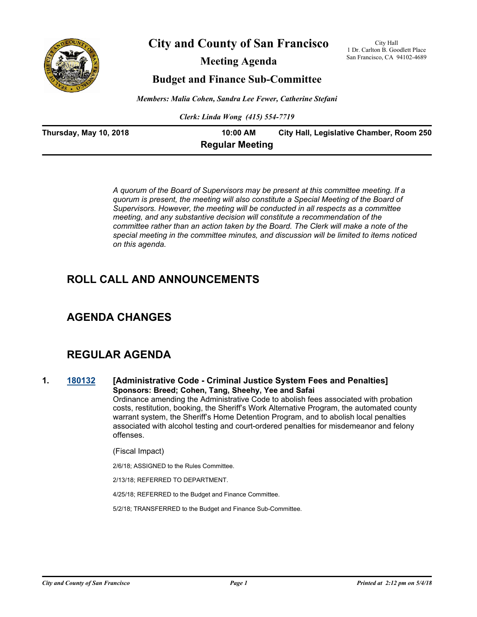

**City and County of San Francisco**

**Meeting Agenda**

City Hall 1 Dr. Carlton B. Goodlett Place San Francisco, CA 94102-4689

## **Budget and Finance Sub-Committee**

*Members: Malia Cohen, Sandra Lee Fewer, Catherine Stefani*

*Clerk: Linda Wong (415) 554-7719*

| Thursday, May 10, 2018 | 10:00 AM               | City Hall, Legislative Chamber, Room 250 |
|------------------------|------------------------|------------------------------------------|
|                        | <b>Regular Meeting</b> |                                          |

*A quorum of the Board of Supervisors may be present at this committee meeting. If a quorum is present, the meeting will also constitute a Special Meeting of the Board of Supervisors. However, the meeting will be conducted in all respects as a committee meeting, and any substantive decision will constitute a recommendation of the committee rather than an action taken by the Board. The Clerk will make a note of the special meeting in the committee minutes, and discussion will be limited to items noticed on this agenda.*

## **ROLL CALL AND ANNOUNCEMENTS**

## **AGENDA CHANGES**

## **REGULAR AGENDA**

#### **1. [180132](http://sfgov.legistar.com/gateway.aspx?m=l&id=33001) [Administrative Code - Criminal Justice System Fees and Penalties] Sponsors: Breed; Cohen, Tang, Sheehy, Yee and Safai** Ordinance amending the Administrative Code to abolish fees associated with probation costs, restitution, booking, the Sheriff's Work Alternative Program, the automated county warrant system, the Sheriff's Home Detention Program, and to abolish local penalties associated with alcohol testing and court-ordered penalties for misdemeanor and felony offenses.

(Fiscal Impact)

2/6/18; ASSIGNED to the Rules Committee.

2/13/18; REFERRED TO DEPARTMENT.

4/25/18; REFERRED to the Budget and Finance Committee.

5/2/18; TRANSFERRED to the Budget and Finance Sub-Committee.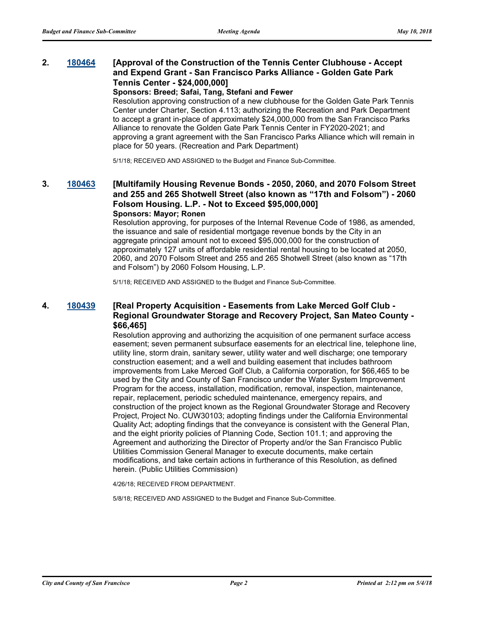#### **2. [180464](http://sfgov.legistar.com/gateway.aspx?m=l&id=33333) [Approval of the Construction of the Tennis Center Clubhouse - Accept and Expend Grant - San Francisco Parks Alliance - Golden Gate Park Tennis Center - \$24,000,000]**

#### **Sponsors: Breed; Safai, Tang, Stefani and Fewer**

Resolution approving construction of a new clubhouse for the Golden Gate Park Tennis Center under Charter, Section 4.113; authorizing the Recreation and Park Department to accept a grant in-place of approximately \$24,000,000 from the San Francisco Parks Alliance to renovate the Golden Gate Park Tennis Center in FY2020-2021; and approving a grant agreement with the San Francisco Parks Alliance which will remain in place for 50 years. (Recreation and Park Department)

5/1/18; RECEIVED AND ASSIGNED to the Budget and Finance Sub-Committee.

#### **3. [180463](http://sfgov.legistar.com/gateway.aspx?m=l&id=33332) [Multifamily Housing Revenue Bonds - 2050, 2060, and 2070 Folsom Street and 255 and 265 Shotwell Street (also known as "17th and Folsom") - 2060 Folsom Housing. L.P. - Not to Exceed \$95,000,000] Sponsors: Mayor; Ronen**

Resolution approving, for purposes of the Internal Revenue Code of 1986, as amended, the issuance and sale of residential mortgage revenue bonds by the City in an aggregate principal amount not to exceed \$95,000,000 for the construction of approximately 127 units of affordable residential rental housing to be located at 2050, 2060, and 2070 Folsom Street and 255 and 265 Shotwell Street (also known as "17th and Folsom") by 2060 Folsom Housing, L.P.

5/1/18; RECEIVED AND ASSIGNED to the Budget and Finance Sub-Committee.

#### **4. [180439](http://sfgov.legistar.com/gateway.aspx?m=l&id=33308) [Real Property Acquisition - Easements from Lake Merced Golf Club - Regional Groundwater Storage and Recovery Project, San Mateo County - \$66,465]**

Resolution approving and authorizing the acquisition of one permanent surface access easement; seven permanent subsurface easements for an electrical line, telephone line, utility line, storm drain, sanitary sewer, utility water and well discharge; one temporary construction easement; and a well and building easement that includes bathroom improvements from Lake Merced Golf Club, a California corporation, for \$66,465 to be used by the City and County of San Francisco under the Water System Improvement Program for the access, installation, modification, removal, inspection, maintenance, repair, replacement, periodic scheduled maintenance, emergency repairs, and construction of the project known as the Regional Groundwater Storage and Recovery Project, Project No. CUW30103; adopting findings under the California Environmental Quality Act; adopting findings that the conveyance is consistent with the General Plan, and the eight priority policies of Planning Code, Section 101.1; and approving the Agreement and authorizing the Director of Property and/or the San Francisco Public Utilities Commission General Manager to execute documents, make certain modifications, and take certain actions in furtherance of this Resolution, as defined herein. (Public Utilities Commission)

4/26/18; RECEIVED FROM DEPARTMENT.

5/8/18; RECEIVED AND ASSIGNED to the Budget and Finance Sub-Committee.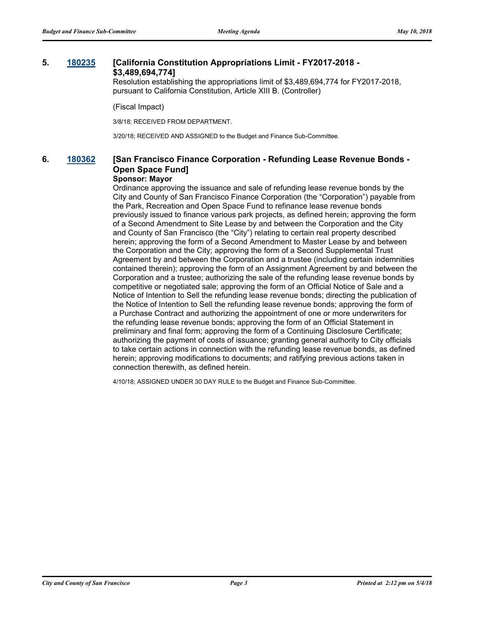#### **5. [180235](http://sfgov.legistar.com/gateway.aspx?m=l&id=33104) [California Constitution Appropriations Limit - FY2017-2018 - \$3,489,694,774]**

Resolution establishing the appropriations limit of \$3,489,694,774 for FY2017-2018, pursuant to California Constitution, Article XIII B. (Controller)

(Fiscal Impact)

3/8/18; RECEIVED FROM DEPARTMENT.

3/20/18; RECEIVED AND ASSIGNED to the Budget and Finance Sub-Committee.

## **6. [180362](http://sfgov.legistar.com/gateway.aspx?m=l&id=33231) [San Francisco Finance Corporation - Refunding Lease Revenue Bonds - Open Space Fund]**

#### **Sponsor: Mayor**

Ordinance approving the issuance and sale of refunding lease revenue bonds by the City and County of San Francisco Finance Corporation (the "Corporation") payable from the Park, Recreation and Open Space Fund to refinance lease revenue bonds previously issued to finance various park projects, as defined herein; approving the form of a Second Amendment to Site Lease by and between the Corporation and the City and County of San Francisco (the "City") relating to certain real property described herein; approving the form of a Second Amendment to Master Lease by and between the Corporation and the City; approving the form of a Second Supplemental Trust Agreement by and between the Corporation and a trustee (including certain indemnities contained therein); approving the form of an Assignment Agreement by and between the Corporation and a trustee; authorizing the sale of the refunding lease revenue bonds by competitive or negotiated sale; approving the form of an Official Notice of Sale and a Notice of Intention to Sell the refunding lease revenue bonds; directing the publication of the Notice of Intention to Sell the refunding lease revenue bonds; approving the form of a Purchase Contract and authorizing the appointment of one or more underwriters for the refunding lease revenue bonds; approving the form of an Official Statement in preliminary and final form; approving the form of a Continuing Disclosure Certificate; authorizing the payment of costs of issuance; granting general authority to City officials to take certain actions in connection with the refunding lease revenue bonds, as defined herein; approving modifications to documents; and ratifying previous actions taken in connection therewith, as defined herein.

4/10/18; ASSIGNED UNDER 30 DAY RULE to the Budget and Finance Sub-Committee.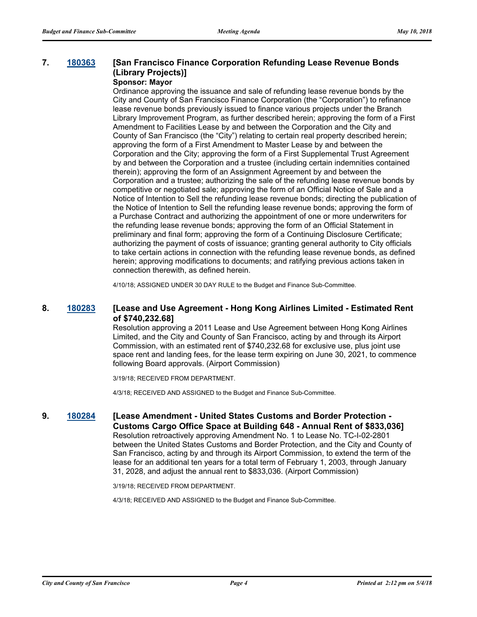## **7. [180363](http://sfgov.legistar.com/gateway.aspx?m=l&id=33232) [San Francisco Finance Corporation Refunding Lease Revenue Bonds (Library Projects)]**

## **Sponsor: Mayor**

Ordinance approving the issuance and sale of refunding lease revenue bonds by the City and County of San Francisco Finance Corporation (the "Corporation") to refinance lease revenue bonds previously issued to finance various projects under the Branch Library Improvement Program, as further described herein; approving the form of a First Amendment to Facilities Lease by and between the Corporation and the City and County of San Francisco (the "City") relating to certain real property described herein; approving the form of a First Amendment to Master Lease by and between the Corporation and the City; approving the form of a First Supplemental Trust Agreement by and between the Corporation and a trustee (including certain indemnities contained therein); approving the form of an Assignment Agreement by and between the Corporation and a trustee; authorizing the sale of the refunding lease revenue bonds by competitive or negotiated sale; approving the form of an Official Notice of Sale and a Notice of Intention to Sell the refunding lease revenue bonds; directing the publication of the Notice of Intention to Sell the refunding lease revenue bonds; approving the form of a Purchase Contract and authorizing the appointment of one or more underwriters for the refunding lease revenue bonds; approving the form of an Official Statement in preliminary and final form; approving the form of a Continuing Disclosure Certificate; authorizing the payment of costs of issuance; granting general authority to City officials to take certain actions in connection with the refunding lease revenue bonds, as defined herein; approving modifications to documents; and ratifying previous actions taken in connection therewith, as defined herein.

4/10/18; ASSIGNED UNDER 30 DAY RULE to the Budget and Finance Sub-Committee.

#### **8. [180283](http://sfgov.legistar.com/gateway.aspx?m=l&id=33152) [Lease and Use Agreement - Hong Kong Airlines Limited - Estimated Rent of \$740,232.68]**

Resolution approving a 2011 Lease and Use Agreement between Hong Kong Airlines Limited, and the City and County of San Francisco, acting by and through its Airport Commission, with an estimated rent of \$740,232.68 for exclusive use, plus joint use space rent and landing fees, for the lease term expiring on June 30, 2021, to commence following Board approvals. (Airport Commission)

3/19/18; RECEIVED FROM DEPARTMENT.

4/3/18; RECEIVED AND ASSIGNED to the Budget and Finance Sub-Committee.

**9. [180284](http://sfgov.legistar.com/gateway.aspx?m=l&id=33153) [Lease Amendment - United States Customs and Border Protection - Customs Cargo Office Space at Building 648 - Annual Rent of \$833,036]**

Resolution retroactively approving Amendment No. 1 to Lease No. TC-I-02-2801 between the United States Customs and Border Protection, and the City and County of San Francisco, acting by and through its Airport Commission, to extend the term of the lease for an additional ten years for a total term of February 1, 2003, through January 31, 2028, and adjust the annual rent to \$833,036. (Airport Commission)

3/19/18; RECEIVED FROM DEPARTMENT.

4/3/18; RECEIVED AND ASSIGNED to the Budget and Finance Sub-Committee.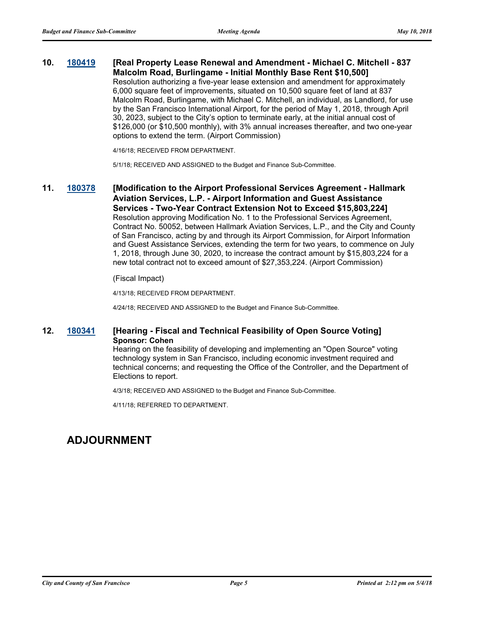#### **10. [180419](http://sfgov.legistar.com/gateway.aspx?m=l&id=33288) [Real Property Lease Renewal and Amendment - Michael C. Mitchell - 837 Malcolm Road, Burlingame - Initial Monthly Base Rent \$10,500]**

Resolution authorizing a five-year lease extension and amendment for approximately 6,000 square feet of improvements, situated on 10,500 square feet of land at 837 Malcolm Road, Burlingame, with Michael C. Mitchell, an individual, as Landlord, for use by the San Francisco International Airport, for the period of May 1, 2018, through April 30, 2023, subject to the City's option to terminate early, at the initial annual cost of \$126,000 (or \$10,500 monthly), with 3% annual increases thereafter, and two one-year options to extend the term. (Airport Commission)

4/16/18; RECEIVED FROM DEPARTMENT.

5/1/18; RECEIVED AND ASSIGNED to the Budget and Finance Sub-Committee.

## **11. [180378](http://sfgov.legistar.com/gateway.aspx?m=l&id=33247) [Modification to the Airport Professional Services Agreement - Hallmark Aviation Services, L.P. - Airport Information and Guest Assistance Services - Two-Year Contract Extension Not to Exceed \$15,803,224]**

Resolution approving Modification No. 1 to the Professional Services Agreement, Contract No. 50052, between Hallmark Aviation Services, L.P., and the City and County of San Francisco, acting by and through its Airport Commission, for Airport Information and Guest Assistance Services, extending the term for two years, to commence on July 1, 2018, through June 30, 2020, to increase the contract amount by \$15,803,224 for a new total contract not to exceed amount of \$27,353,224. (Airport Commission)

#### (Fiscal Impact)

4/13/18; RECEIVED FROM DEPARTMENT.

4/24/18; RECEIVED AND ASSIGNED to the Budget and Finance Sub-Committee.

#### **12. [180341](http://sfgov.legistar.com/gateway.aspx?m=l&id=33210) [Hearing - Fiscal and Technical Feasibility of Open Source Voting] Sponsor: Cohen**

Hearing on the feasibility of developing and implementing an "Open Source" voting technology system in San Francisco, including economic investment required and technical concerns; and requesting the Office of the Controller, and the Department of Elections to report.

4/3/18; RECEIVED AND ASSIGNED to the Budget and Finance Sub-Committee.

4/11/18; REFERRED TO DEPARTMENT.

## **ADJOURNMENT**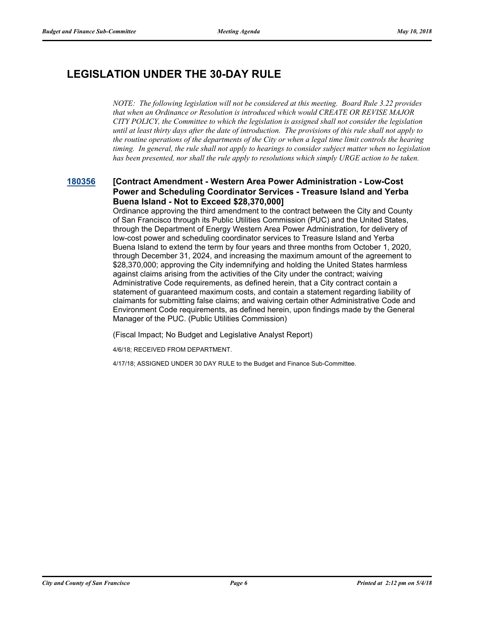# **LEGISLATION UNDER THE 30-DAY RULE**

*NOTE: The following legislation will not be considered at this meeting. Board Rule 3.22 provides that when an Ordinance or Resolution is introduced which would CREATE OR REVISE MAJOR CITY POLICY, the Committee to which the legislation is assigned shall not consider the legislation until at least thirty days after the date of introduction. The provisions of this rule shall not apply to the routine operations of the departments of the City or when a legal time limit controls the hearing timing. In general, the rule shall not apply to hearings to consider subject matter when no legislation has been presented, nor shall the rule apply to resolutions which simply URGE action to be taken.*

#### **[180356](http://sfgov.legistar.com/gateway.aspx?m=l&id=33225) [Contract Amendment - Western Area Power Administration - Low-Cost Power and Scheduling Coordinator Services - Treasure Island and Yerba Buena Island - Not to Exceed \$28,370,000]**

Ordinance approving the third amendment to the contract between the City and County of San Francisco through its Public Utilities Commission (PUC) and the United States, through the Department of Energy Western Area Power Administration, for delivery of low-cost power and scheduling coordinator services to Treasure Island and Yerba Buena Island to extend the term by four years and three months from October 1, 2020, through December 31, 2024, and increasing the maximum amount of the agreement to \$28,370,000; approving the City indemnifying and holding the United States harmless against claims arising from the activities of the City under the contract; waiving Administrative Code requirements, as defined herein, that a City contract contain a statement of guaranteed maximum costs, and contain a statement regarding liability of claimants for submitting false claims; and waiving certain other Administrative Code and Environment Code requirements, as defined herein, upon findings made by the General Manager of the PUC. (Public Utilities Commission)

(Fiscal Impact; No Budget and Legislative Analyst Report)

4/6/18; RECEIVED FROM DEPARTMENT.

4/17/18; ASSIGNED UNDER 30 DAY RULE to the Budget and Finance Sub-Committee.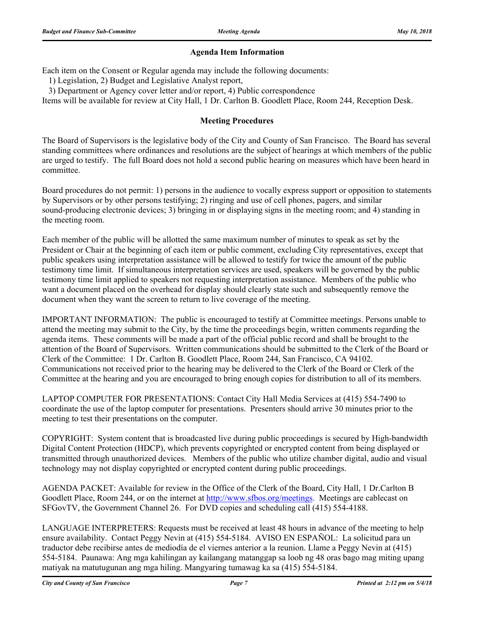#### **Agenda Item Information**

Each item on the Consent or Regular agenda may include the following documents:

1) Legislation, 2) Budget and Legislative Analyst report,

3) Department or Agency cover letter and/or report, 4) Public correspondence

Items will be available for review at City Hall, 1 Dr. Carlton B. Goodlett Place, Room 244, Reception Desk.

#### **Meeting Procedures**

The Board of Supervisors is the legislative body of the City and County of San Francisco. The Board has several standing committees where ordinances and resolutions are the subject of hearings at which members of the public are urged to testify. The full Board does not hold a second public hearing on measures which have been heard in committee.

Board procedures do not permit: 1) persons in the audience to vocally express support or opposition to statements by Supervisors or by other persons testifying; 2) ringing and use of cell phones, pagers, and similar sound-producing electronic devices; 3) bringing in or displaying signs in the meeting room; and 4) standing in the meeting room.

Each member of the public will be allotted the same maximum number of minutes to speak as set by the President or Chair at the beginning of each item or public comment, excluding City representatives, except that public speakers using interpretation assistance will be allowed to testify for twice the amount of the public testimony time limit. If simultaneous interpretation services are used, speakers will be governed by the public testimony time limit applied to speakers not requesting interpretation assistance. Members of the public who want a document placed on the overhead for display should clearly state such and subsequently remove the document when they want the screen to return to live coverage of the meeting.

IMPORTANT INFORMATION: The public is encouraged to testify at Committee meetings. Persons unable to attend the meeting may submit to the City, by the time the proceedings begin, written comments regarding the agenda items. These comments will be made a part of the official public record and shall be brought to the attention of the Board of Supervisors. Written communications should be submitted to the Clerk of the Board or Clerk of the Committee: 1 Dr. Carlton B. Goodlett Place, Room 244, San Francisco, CA 94102. Communications not received prior to the hearing may be delivered to the Clerk of the Board or Clerk of the Committee at the hearing and you are encouraged to bring enough copies for distribution to all of its members.

LAPTOP COMPUTER FOR PRESENTATIONS: Contact City Hall Media Services at (415) 554-7490 to coordinate the use of the laptop computer for presentations. Presenters should arrive 30 minutes prior to the meeting to test their presentations on the computer.

COPYRIGHT: System content that is broadcasted live during public proceedings is secured by High-bandwidth Digital Content Protection (HDCP), which prevents copyrighted or encrypted content from being displayed or transmitted through unauthorized devices. Members of the public who utilize chamber digital, audio and visual technology may not display copyrighted or encrypted content during public proceedings.

AGENDA PACKET: Available for review in the Office of the Clerk of the Board, City Hall, 1 Dr.Carlton B Goodlett Place, Room 244, or on the internet at http://www.sfbos.org/meetings. Meetings are cablecast on SFGovTV, the Government Channel 26. For DVD copies and scheduling call (415) 554-4188.

LANGUAGE INTERPRETERS: Requests must be received at least 48 hours in advance of the meeting to help ensure availability. Contact Peggy Nevin at (415) 554-5184. AVISO EN ESPAÑOL: La solicitud para un traductor debe recibirse antes de mediodía de el viernes anterior a la reunion. Llame a Peggy Nevin at (415) 554-5184. Paunawa: Ang mga kahilingan ay kailangang matanggap sa loob ng 48 oras bago mag miting upang matiyak na matutugunan ang mga hiling. Mangyaring tumawag ka sa (415) 554-5184.